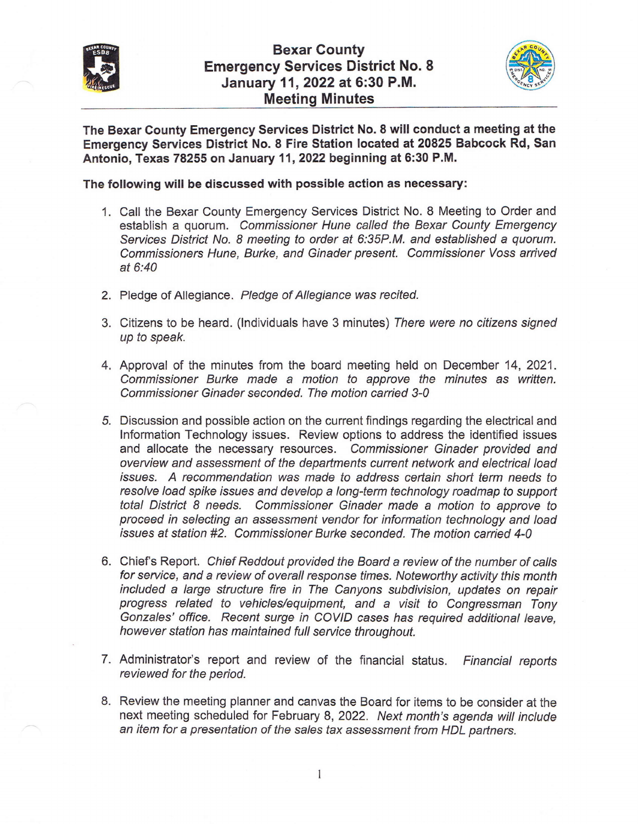



The Bexar County Emergency Services District No. 8 will conduct a meeting at the Emergency Services District No. 8 Fire Station located at 20825 Babcock Rd, San Antonio, Texas 78255 on January 11,2022 beginning at 6:30 P.M.

The following will be discussed with possible action as necessary:

- 1. Call the Bexar County Emergency Services District No, 8 Meeting to Order and establish a quorum. Commissioner Hune called the Bexar County Emergency Services District No. 8 meeting to order at 6:35P.M. and established a quorum. Commissioners Hune, Burke, and Ginader present. Commissioner Voss arrived at 6:40
- 2. Pledge of Allegiance. Pledge of Allegiance was recited.
- 3. Citizens to be heard. (lndividuals have 3 minutes) There were no citizens signed up to speak.
- 4. Approval of the minutes from the board meeting held on December 14,2021. Commissioner Burke made a motion to approve the minutes as written. Commissioner Ginader seconded. The motion carried 3-0
- 5. Discussion and possible action on the current findings regarding the electrical and lnformation Technology issues. Review options to address the identified issues and allocate the necessary resources. Commissioner Ginader provided and overuiew and assessment of the departments current network and electrical load issues. A recommendation was made fo address certain short term needs to resolve load spike issues and develop a long-term technology roadmap to support total District 8 needs. Commissioner Ginader made a motion to approve to proceed in selecting an assessmenf vendor for information technology and load issues at station #2. Commissioner Burke seconded. The motion carried 4-0
- 6. Chiefs Report. Chief Reddout provided the Board a review of the number of calls for service, and a review of overall response times. Noteworthy activity this month included a large structure fire in The Canyons subdivision, updates on repair progress related to vehicles/equipment, and a visit to Congressman Tony Gonzales' office. Recent surge in COVID cases has required additional leave, however station has maintained full service throughout.
- 7. Administrator's report and review of the financial status. Financial reports reviewed for the period.
- 8. Review the meeting planner and canvas the Board for items to be consider at the next meeting scheduled for February 8,2022. Next month's agenda will include an item for a presentation of the sales tax assessment from HDL partners.